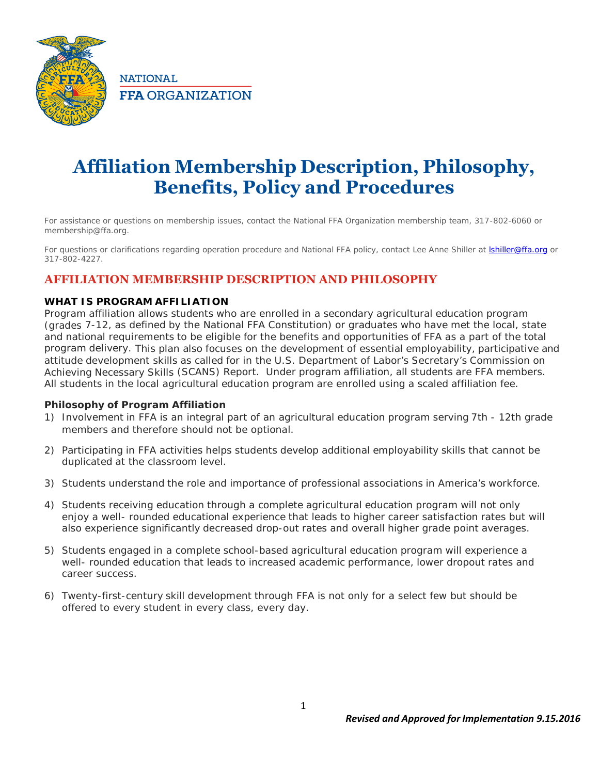

**NATIONAL FFA ORGANIZATION** 

# **Affiliation Membership Description, Philosophy, Benefits, Policy and Procedures**

*For assistance or questions on membership issues, contact the National FFA Organization membership team, 317-802-6060 or membership@ffa.org.*

For questions or clarifications regarding operation procedure and National FFA policy, contact Lee Anne Shiller at **Ishiller@ffa.org** or<br>317-802-4227.

## **AFFILIATION MEMBERSHIP DESCRIPTION AND PHILOSOPHY**

### **WHAT IS PROGRAM AFFILIATION**

Program affiliation allows students who are enrolled in a secondary agricultural education program (grades 7-12, as defined by the National FFA Constitution) or graduates who have met the local, state and national requirements to be eligible for the benefits and opportunities of FFA as a part of the total program delivery. This plan also focuses on the development of essential employability, participative and attitude development skills as called for in the U.S. Department of Labor's Secretary's Commission on Achieving Necessary Skills (SCANS) Report. Under program affiliation, all students are FFA members. All students in the local agricultural education program are enrolled using a scaled affiliation fee.

**Philosophy of Program Affiliation**

- 1) *Involvement in FFA is an integral part of an agricultural education program serving 7th - 12th grade members and therefore should not be optional.*
- 2) *Participating in FFA activities helps students develop additional employability skills that cannot be duplicated at the classroom level.*
- 3) *Students understand the role and importance of professional associations in America's workforce.*
- 4) *Students receiving education through a complete agricultural education program will not only enjoy a well- rounded educational experience that leads to higher career satisfaction rates but will also experience significantly decreased drop-out rates and overall higher grade point averages.*
- 5) *Students engaged in a complete school-based agricultural education program will experience a well- rounded education that leads to increased academic performance, lower dropout rates and career success.*
- 6) *Twenty-first-century skill development through FFA isnot only for a select few but should be offered to every student in every class, every day.*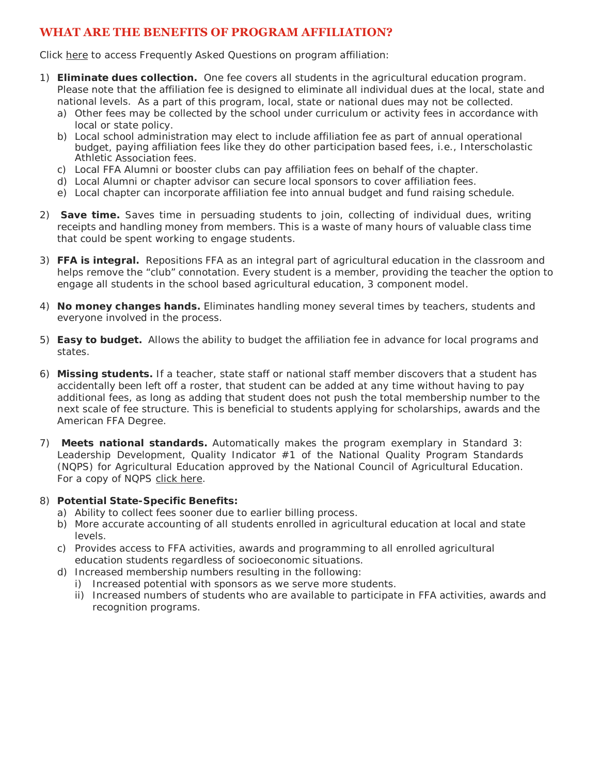### **WHAT ARE THE BENEFITS OF PROGRAM AFFILIATION?**

Click here to access Frequently Asked Questions on program affiliation:

- 1) **Eliminate dues collection.** One fee covers all students in the agricultural education program. Please note that the affiliation fee is designed to eliminate all individual dues at the local, state and national levels. As a part of this program, local, state or national dues may not be collected.
	- a) Other fees may be collected by the school under curriculum or activity fees in accordance with local or state policy.
	- b) Local school administration may elect to include affiliation fee as part of annual operational budget, paying affiliation fees like they do other participation based fees, i.e., Interscholastic Athletic Association fees.
	- c) Local FFA Alumni or booster clubs can pay affiliation fees on behalf of the chapter.
	- d) Local Alumni or chapter advisor can secure local sponsors to cover affiliation fees.
	- e) Local chapter can incorporate affiliation fee into annual budget and fund raising schedule.
- 2) **Save time.** Saves time in persuading students to join, collecting of individual dues, writing receipts and handling money from members. This is a waste of many hours of valuable class time that could be spent working to engage students.
- 3) **FFA is integral.** Repositions FFA as an integral part of agricultural education in the classroom and helps remove the "club" connotation. Every student is a member, providing the teacher the option to engage all students in the school based agricultural education, 3 component model.
- 4) **No money changes hands.** Eliminates handling money several times by teachers, students and everyone involved in the process.
- 5) **Easy to budget.** Allows the ability to budget the affiliation fee in advance for local programs and states.
- 6) **Missing students.** If a teacher, state staff or national staff member discovers that a student has accidentally been left off a roster, that student can be added at any time without having to pay additional fees, as long as adding that student does not push the total membership number to the next scale of fee structure. This is beneficial to students applying for scholarships, awards and the American FFA Degree.
- 7) **Meets national standards.** Automatically makes the program exemplary in Standard 3: Leadership Development, Quality Indicator #1 of the National Quality Program Standards (NQPS) for Agricultural Education approved by the National Council of Agricultural Education. For a copy of NQPS click here.
- 8) **Potential State-Specific Benefits:**
	- a) Ability to collect fees sooner due to earlier billing process.
	- b) More accurate accounting of all students enrolled in agricultural education at local and state levels.
	- c) Provides access to FFA activities, awards and programming to all enrolled agricultural education students regardless of socioeconomic situations.
	- d) Increased membership numbers resulting in the following:
		- i) Increased potential with sponsors as we serve more students.
		- ii) Increased numbers of students who are available to participate in FFA activities, awards and recognition programs.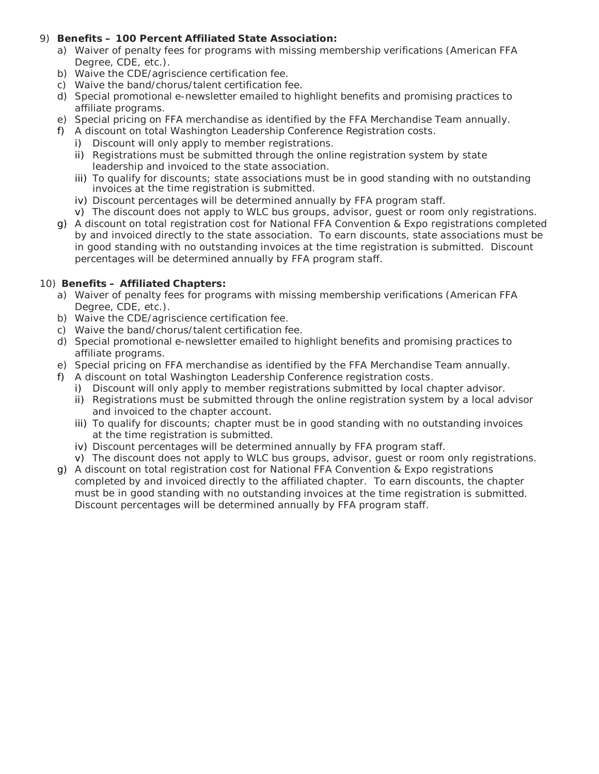- 9) **Benefits – 100 Percent Affiliated State Association:**
	- a) Waiver of penalty fees for programs with missing membership verifications (American FFA Degree, CDE, etc.).
	- b) Waive the CDE/agriscience certification fee.
	- c) Waive the band/chorus/talent certification fee.
	- d) Special promotional e-newsletter emailed to highlight benefits and promising practices to affiliate programs.
	- e) Special pricing on FFA merchandise as identified by the FFA Merchandise Team annually.
	- f) A discount on total Washington Leadership Conference Registration costs.
		- i) Discount will only apply to member registrations.
		- ii) Registrations must be submitted through the online registration system by state leadership and invoiced to the state association.
		- iii) To qualify for discounts; state associations must be in good standing with no outstanding invoices at the time registration is submitted.
		- iv) Discount percentages will be determined annually by FFA program staff.
		- v) The discount does not apply to WLC bus groups, advisor, guest or room only registrations.
	- g) A discount on total registration cost for National FFA Convention & Expo registrations completed by and invoiced directly to the state association. To earn discounts, state associations must be in good standing with no outstanding invoices at the time registration is submitted. Discount percentages will be determined annually by FFA program staff.
- 10) **Benefits – Affiliated Chapters:**
	- a) Waiver of penalty fees for programs with missing membership verifications (American FFA Degree, CDE, etc.).
	- b) Waive the CDE/agriscience certification fee.
	- c) Waive the band/chorus/talent certification fee.
	- d) Special promotional e-newsletter emailed to highlight benefits and promising practices to affiliate programs.
	- e) Special pricing on FFA merchandise as identified by the FFA Merchandise Team annually.
	- f) A discount on total Washington Leadership Conference registration costs.
		- i) Discount will only apply to member registrations submitted by local chapter advisor.
		- ii) Registrations must be submitted through the online registration system by a local advisor and invoiced to the chapter account.
		- iii) To qualify for discounts; chapter must be in good standing with no outstanding invoices at the time registration is submitted.
		- iv) Discount percentages will be determined annually by FFA program staff.
		- v) The discount does not apply to WLC bus groups, advisor, guest or room only registrations.
	- g) A discount on totalregistration cost for National FFA Convention & Expo registrations completed by and invoiced directly to the affiliated chapter. To earn discounts, the chapter must be in good standing with no outstanding invoices at the time registration is submitted. Discount percentages will be determined annually by FFA program staff.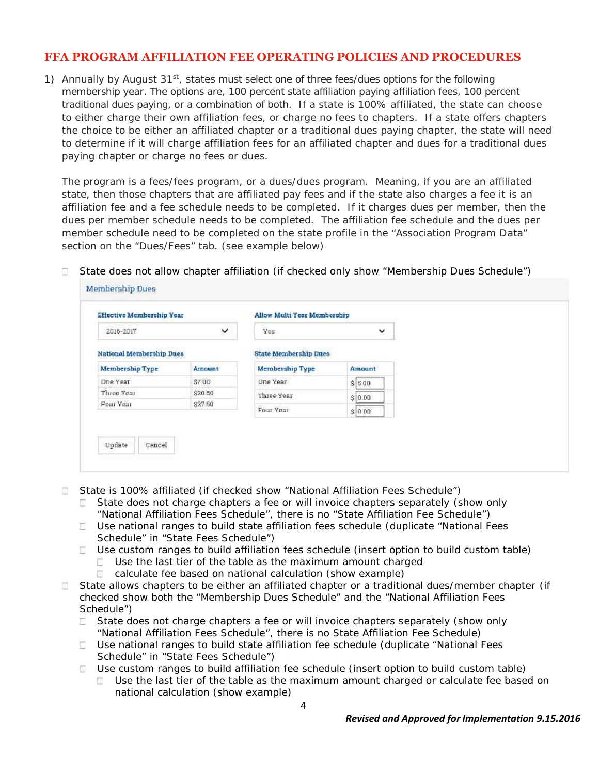### **FFA PROGRAM AFFILIATION FEE OPERATING POLICIES AND PROCEDURES**

1) Annually by August  $31<sup>st</sup>$ , states must select one of three fees/dues options for the following membership year. The options are, 100 percent state affiliation paying affiliation fees, 100 percent traditional dues paying, or a combination of both. If a state is 100% affiliated, the state can choose to either charge their own affiliation fees, or charge no fees to chapters. If a state offers chapters the choice to be either an affiliated chapter or a traditional dues paying chapter, the state will need to determine if it will charge affiliation fees for an affiliated chapter and dues for a traditional dues paying chapter or charge no fees or dues.

The program is a fees/fees program, or a dues/dues program. Meaning, if you are an affiliated state, then those chapters that are affiliated pay fees and if the state also charges a fee it is an affiliation fee and a fee schedule needs to be completed. If it charges dues per member, then the dues per member schedule needs to be completed. The affiliation fee schedule and the dues per member schedule need to be completed on the state profile in the "Association Program Data" section on the "Dues/Fees" tab. (see example below)

- Membership Dues **Effective Membership Year Allow Multi Year Membership** v ◡ 2016-2017  $V_{\text{DE}}$ **National Membership Dues State Membership Dues** Membership Type Amount Membership Type Amount Dhe Year  $$700$ One Year  $s$  s do \$20.50 Three Year Three Year  $$ 0.00$ Four Year \$27.50 Four Year  $s|0.00$ Update Cancel
- State does not allow chapter affiliation *(if checked only show "Membership Dues Schedule")*  $\pm$

- State is 100% affiliated *(if checked show "National Affiliation Fees Schedule")*
	- State does not charge chapters a fee or will invoice chapters separately *(show only "National Affiliation Fees Schedule", there is no "State Affiliation Fee Schedule")*
	- Use national ranges to build state affiliation fees schedule *(duplicate "National Fees Schedule" in "State Fees Schedule")*
	- Use custom ranges to build affiliation fees schedule *(insert option to build custom table)*
		- Use the last tier of the table as the maximum amount charged  $\frac{1}{2}$  .  $\frac{1}{2}$
		- $\sim$ calculate fee based on national calculation (show example)
- State allows chapters to be either an affiliated chapter or a traditional dues/member chapter *(if*  $\sim$ *checked show both the "Membership Dues Schedule" and the "National Affiliation Fees Schedule")*
	- $\sim$ State does not charge chapters a fee or will invoice chapters separately *(show only "National Affiliation Fees Schedule", there is no State Affiliation Fee Schedule)*
	- Use national ranges to build state affiliation fee schedule *(duplicate "National Fees Schedule" in "State Fees Schedule")*
	- Use custom ranges to build affiliation fee schedule *(insert option to build custom table)*
		- $\Box$  Use the last tier of the table as the maximum amount charged or calculate fee based on national calculation (show example)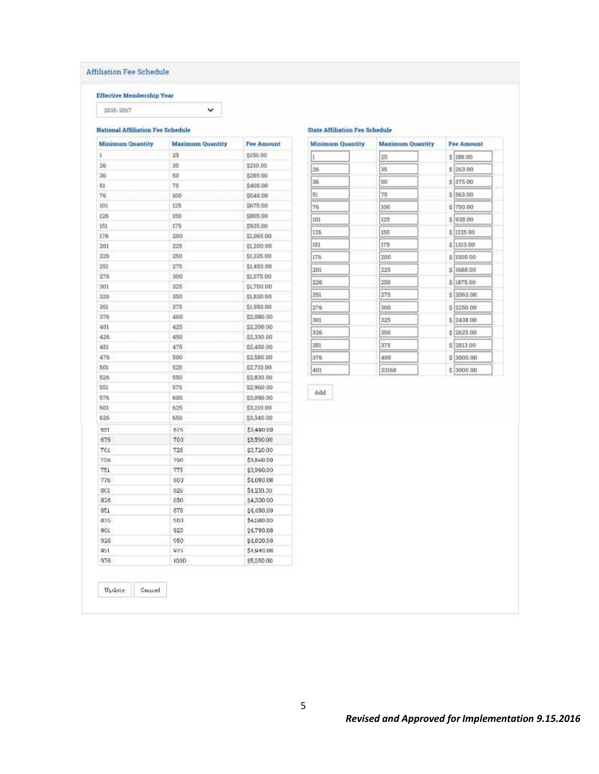### Affiliation Fee Schedule

#### **Effective Membership Year**

2016-2017

#### **National Affiliation Fee Schedule**

| <b>Minimum Quantity</b> | <b>Maximum Quantity</b> | <b>Fee Amount</b> |
|-------------------------|-------------------------|-------------------|
| ï                       | 25                      | \$150.00          |
| 26                      | 35                      | \$210.00          |
| 36                      | 50                      | \$285.00          |
| 51                      | 75                      | \$405.00          |
| 76                      | 100                     | \$540.00          |
| 101                     | 125                     | \$675.00          |
| 126                     | 150                     | \$805.00          |
| 161                     | 175                     | \$935.00          |
| 176                     | 200                     | \$1,065.00        |
| 201                     | 225                     | \$1,200.00        |
| 226                     | 280                     | \$1,326.00        |
| 251                     | 275                     | \$1,450.00        |
| 276                     | 300                     | \$1,575.00        |
| 301                     | 325                     | \$1,700.00        |
| 326                     | 350                     | \$1,830.00        |
| 351                     | 375                     | \$1,950.00        |
| 376                     | 400                     | \$2,080.00        |
| 401                     | 425                     | \$2,200.00        |
| 426                     | 450                     | \$2,330.00        |
| 451                     | 475                     | \$2,450.00        |
| 476                     | 500                     | \$2,580.00        |
| 501                     | 525                     | \$2,710.00        |
| 526                     | 550                     | \$2,830.00        |
| 561                     | 575                     | \$2,960.00        |
| 576                     | 600                     | \$3,090.00        |
| 601                     | 625                     | \$3,210.00        |
| 626                     | 650                     | \$3.340.00        |
| ät1                     | 678                     | \$3,450.00        |
| 676                     | 7001                    | \$3,590.00        |
| 701                     | 725                     | \$3,720.00        |
| 725                     | 750                     | \$3,840.00        |
| 751                     | 775                     | \$3,960.00        |
| 776                     | 800                     | \$4,090.00        |
| 301                     | $825^{\circ}$           | \$4,210.00        |
| 825                     | 850                     | \$4,330.00        |
| 851                     | 875                     | \$4,450.00        |
| 87G                     | E09                     | \$4,580.00        |
| 901                     | 925                     | \$4,700.00        |
| 926                     | 950                     | \$4,820.00        |
| 951                     | 975.                    | \$4,940.00        |
| 976                     | 100D                    | \$5,050.00        |

 $\check{ }$ 

#### **State Affiliation Fee Schedule**

| <b>Minimum Quantity</b> | <b>Maximum Quantity</b> | Fee Amount |
|-------------------------|-------------------------|------------|
| Ï                       | $25 -$                  | \$188.00   |
| 26                      | 35                      | \$1263.00  |
| 36                      | 50                      | \$ 375.00  |
| 缸                       | 75                      | \$1563.00  |
| 76                      | 300                     | \$750.00   |
| 101                     | 125                     | \$ 938.00  |
| 126                     | 150                     | \$ 1125.00 |
| 151                     | 175                     | \$ 1313.00 |
| 176                     | 200                     | \$1500.00  |
| 201                     | 225                     | \$ 1688.00 |
| 226                     | 250                     | \$1875.00  |
| 251                     | 275                     | \$12063.00 |
| 276                     | 300                     | \$ 2250.00 |
| 301                     | 325                     | \$ 2438.00 |
| 326                     | 350                     | \$ 2625.00 |
| 351                     | 375                     | \$ 2813.00 |
| 376                     | 400                     | \$13000.00 |
| 401                     | 33168                   | \$13000.00 |

 $\operatorname{\mathsf{Add}}$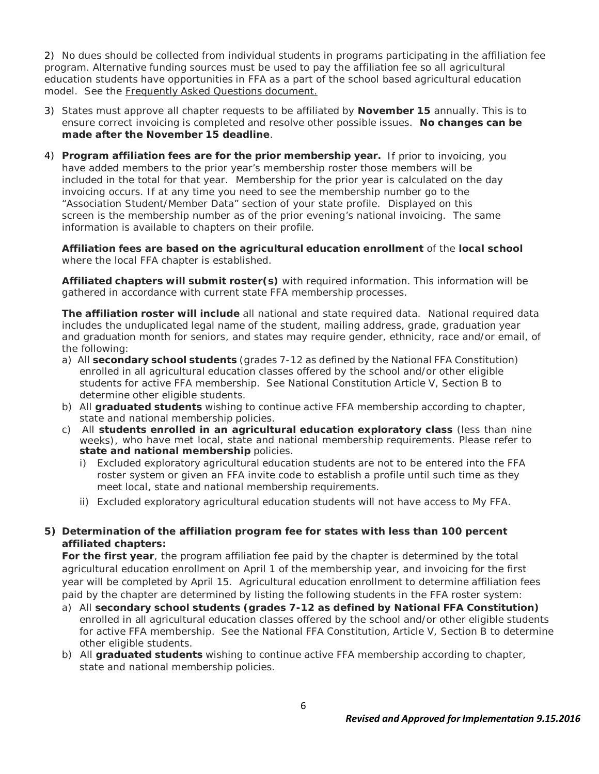2) No dues should be collected from individual students in programs participating in the affiliation fee program. Alternative funding sources must be used to pay the affiliation fee so all agricultural education students have opportunities in FFA as a part of the school based agricultural education model. See the Frequently Asked Questions document.

- 3) States must approve all chapter requests to be affiliated by **November 15** annually. This is to ensure correct invoicing is completed and resolve other possible issues. **No changes can be made after the November 15 deadline**.
- 4) **Program affiliation fees are for the prior membership year.** If prior to invoicing, you have added members to the prior year's membership roster those members will be included in the total for that year. Membership for the prior year is calculated on the day invoicing occurs. If at any time you need to see the membership number go to the "Association Student/Member Data" section of your state profile. Displayed on this screen is the membership number as of the prior evening's national invoicing. The same information is available to chapters on their profile.

**Affiliation fees are based on the agricultural education enrollment** of the **local school** where the local FFA chapter is established.

**Affiliated chapters will submit roster(s)** with required information. This information will be gathered in accordance with current state FFA membership processes.

**The affiliation roster will include** all national and state required data. National required data includes the unduplicated legal name of the student, mailing address, grade, graduation year and graduation month for seniors, and states may require gender, ethnicity, race and/or email, of the following:

- a) All **secondary school students** (grades 7-12 as defined by the National FFA Constitution) enrolled in all agricultural education classes offered by the school and/or other eligible students for active FFA membership. See National Constitution Article V, Section B to determine other eligible students.
- b) All **graduated students** wishing to continue active FFA membership according to chapter, state and national membership policies.
- c) All **students enrolled in an agricultural education exploratory class** (less than nine weeks), who have met local, state and national membership requirements. Please refer to **state and national membership** policies.
	- i) Excluded exploratory agricultural education students are not to be entered into the FFA roster system or given an FFA invite code to establish a profile until such time as they meet local, state and national membership requirements.
	- ii) Excluded exploratory agricultural education students will not have access to My FFA.
- **5) Determination of the affiliation program fee for states with less than 100 percent affiliated chapters:**

**For the first year**, the program affiliation fee paid by the chapter is determined by the total agricultural education enrollment on April 1 of the membership year, and invoicing for the first year will be completed by April 15. Agricultural education enrollment to determine affiliation fees paid by the chapter are determined by listing the following students in the FFA roster system:

- a) All **secondary school students (grades 7-12 as defined by National FFA Constitution)** enrolled in all agricultural education classes offered by the school and/or other eligible students for active FFA membership. See the National FFA Constitution, Article V, Section B to determine other eligible students.
- b) All **graduated students** wishing to continue active FFA membership according to chapter, state and national membership policies.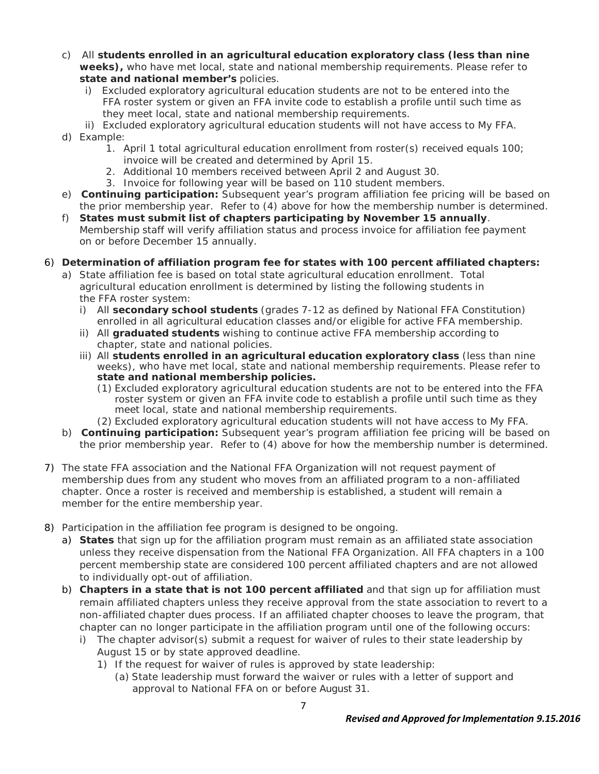- c) All **students enrolled in an agricultural education exploratory class (less than nine weeks),** who have met local, state and national membership requirements. Please refer to **state and national member's** policies.
	- i) Excluded exploratory agricultural education students are not to be entered into the FFA roster system or given an FFA invite code to establish a profile until such time as they meet local, state and national membership requirements.
	- ii) Excluded exploratory agricultural education students will not have access to My FFA.
- d) Example:
	- 1. April 1 total agricultural education enrollment from roster(s) received equals 100; invoice will be created and determined by April 15.
	- 2. Additional 10 members received between April 2 and August 30.
	- 3. Invoice for following year will be based on 110 student members.
- e) **Continuing participation:** Subsequent year's program affiliation fee pricing will be based on the prior membership year. Refer to (4) above for how the membership number is determined.
- f) **States must submit list of chapters participating by November 15 annually**. Membership staff will verify affiliation status and process invoice for affiliation fee payment on or before December 15 annually.
- 6) **Determination of affiliation program fee for states with 100 percent affiliated chapters:**
	- a) State affiliation fee is based on total state agricultural education enrollment. Total agricultural education enrollment is determined by listing the following students in the FFA roster system:
		- i) All **secondary school students** (grades 7-12 as defined by National FFA Constitution) enrolled in all agricultural education classes and/or eligible for active FFA membership.
		- ii) All **graduated students** wishing to continue active FFA membership according to chapter, state and national policies.
		- iii) All **students enrolled in an agricultural education exploratory class** (less than nine weeks), who have met local, state and national membership requirements. Please refer to **state and national membership policies.**
			- (1) Excluded exploratory agricultural education students are not to be entered into the FFA roster system or given an FFA invite code to establish a profile until such time as they meet local, state and national membership requirements.
			- (2) Excluded exploratory agricultural education students will not have access to My FFA.
	- b) **Continuing participation:** Subsequent year's program affiliation fee pricing will be based on the prior membership year. Refer to (4) above for how the membership number is determined.
- 7) The state FFA association and the National FFA Organization will not request payment of membership dues from any student who moves from an affiliated program to a non-affiliated chapter. Once a roster is received and membership is established, a student will remain a member for the entire membership year.
- 8) Participation in the affiliation fee program is designed to be ongoing.
	- a) **States** that sign up for the affiliation program must remain as an affiliated state association unless they receive dispensation from the National FFA Organization. All FFA chapters in a 100 percent membership state are considered 100 percent affiliated chapters and are not allowed to individually opt-out of affiliation.
	- b) **Chapters in a state that is not 100 percent affiliated** and that sign up for affiliation must remain affiliated chapters unless they receive approval from the state association to revert to a non-affiliated chapter dues process. If an affiliated chapter chooses to leave the program, that chapter can no longer participate in the affiliation program until one of the following occurs:
		- i) The chapter advisor(s) submit a request for waiver of rules to their state leadership by August 15 or by state approved deadline.
			- 1) If the request for waiver of rules is approved by state leadership:
				- (a) State leadership must forward the waiver or rules with a letter of support and approval to National FFA on or before August 31.